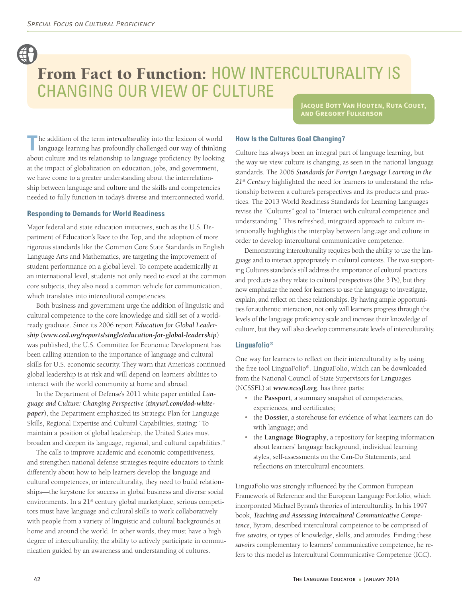# From Fact to Function: HOW INTERCULTURALITY IS Changing Our View of Culture

**Jacque Bott Van Houten, Ruta Couet, and Gregory Fulkerson**

The addition of the term *interculturality* into the lexicon of world language learning has profoundly challenged our way of thinking about culture and its relationship to language proficiency. By looking at the impact of globalization on education, jobs, and government, we have come to a greater understanding about the interrelationship between language and culture and the skills and competencies needed to fully function in today's diverse and interconnected world.

#### **Responding to Demands for World Readiness**

Major federal and state education initiatives, such as the U.S. Department of Education's Race to the Top, and the adoption of more rigorous standards like the Common Core State Standards in English Language Arts and Mathematics, are targeting the improvement of student performance on a global level. To compete academically at an international level, students not only need to excel at the common core subjects, they also need a common vehicle for communication, which translates into intercultural competencies.

Both business and government urge the addition of linguistic and cultural competence to the core knowledge and skill set of a worldready graduate. Since its 2006 report *Education for Global Leadership* (*www.ced.org/reports/single/education-for-global-leadership*) was published, the U.S. Committee for Economic Development has been calling attention to the importance of language and cultural skills for U.S. economic security. They warn that America's continued global leadership is at risk and will depend on learners' abilities to interact with the world community at home and abroad.

In the Department of Defense's 2011 white paper entitled *Language and Culture: Changing Perspective* (*tinyurl.com/dod-whitepaper*), the Department emphasized its Strategic Plan for Language Skills, Regional Expertise and Cultural Capabilities, stating: "To maintain a position of global leadership, the United States must broaden and deepen its language, regional, and cultural capabilities."

The calls to improve academic and economic competitiveness, and strengthen national defense strategies require educators to think differently about how to help learners develop the language and cultural competences, or interculturality, they need to build relationships—the keystone for success in global business and diverse social environments. In a 21<sup>st</sup> century global marketplace, serious competitors must have language and cultural skills to work collaboratively with people from a variety of linguistic and cultural backgrounds at home and around the world. In other words, they must have a high degree of interculturality, the ability to actively participate in communication guided by an awareness and understanding of cultures.

### **How Is the Cultures Goal Changing?**

Culture has always been an integral part of language learning, but the way we view culture is changing, as seen in the national language standards. The 2006 *Standards for Foreign Language Learning in the 21st Century* highlighted the need for learners to understand the relationship between a culture's perspectives and its products and practices. The 2013 World Readiness Standards for Learning Languages revise the "Cultures" goal to "Interact with cultural competence and understanding." This refreshed, integrated approach to culture intentionally highlights the interplay between language and culture in order to develop intercultural communicative competence.

Demonstrating interculturality requires both the ability to use the language and to interact appropriately in cultural contexts. The two supporting Cultures standards still address the importance of cultural practices and products as they relate to cultural perspectives (the 3 Ps), but they now emphasize the need for learners to use the language to investigate, explain, and reflect on these relationships. By having ample opportunities for authentic interaction, not only will learners progress through the levels of the language proficiency scale and increase their knowledge of culture, but they will also develop commensurate levels of interculturality.

#### **Linguafolio®**

One way for learners to reflect on their interculturality is by using the free tool LinguaFolio®. LinguaFolio, which can be downloaded from the National Council of State Supervisors for Languages (NCSSFL) at *www.ncssfl.org*, has three parts:

- the **Passport**, a summary snapshot of competencies, experiences, and certificates;
- the **Dossier**, a storehouse for evidence of what learners can do with language; and
- the **Language Biography**, a repository for keeping information about learners' language background, individual learning styles, self-assessments on the Can-Do Statements, and reflections on intercultural encounters.

LinguaFolio was strongly influenced by the Common European Framework of Reference and the European Language Portfolio, which incorporated Michael Byram's theories of interculturality. In his 1997 book, *Teaching and Assessing Intercultural Communicative Competence*, Byram, described intercultural competence to be comprised of five *savoirs*, or types of knowledge, skills, and attitudes. Finding these *savoirs* complementary to learners' communicative competence, he refers to this model as Intercultural Communicative Competence (ICC).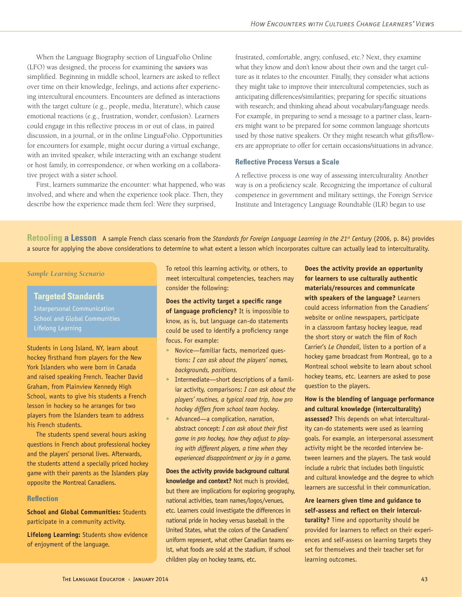When the Language Biography section of LinguaFolio Online (LFO) was designed, the process for examining the *saviors* was simplified. Beginning in middle school, learners are asked to reflect over time on their knowledge, feelings, and actions after experiencing intercultural encounters. Encounters are defined as interactions with the target culture (e.g., people, media, literature), which cause emotional reactions (e.g., frustration, wonder, confusion). Learners could engage in this reflective process in or out of class, in paired discussion, in a journal, or in the online LinguaFolio. Opportunities for encounters for example, might occur during a virtual exchange, with an invited speaker, while interacting with an exchange student or host family, in correspondence, or when working on a collaborative project with a sister school.

First, learners summarize the encounter: what happened, who was involved, and where and when the experience took place. Then, they describe how the experience made them feel: Were they surprised,

frustrated, comfortable, angry, confused, etc.? Next, they examine what they know and don't know about their own and the target culture as it relates to the encounter. Finally, they consider what actions they might take to improve their intercultural competencies, such as anticipating differences/similarities; preparing for specific situations with research; and thinking ahead about vocabulary/language needs. For example, in preparing to send a message to a partner class, learners might want to be prepared for some common language shortcuts used by those native speakers. Or they might research what gifts/flowers are appropriate to offer for certain occasions/situations in advance.

#### **Reflective Process Versus a Scale**

A reflective process is one way of assessing interculturality. Another way is on a proficiency scale. Recognizing the importance of cultural competence in government and military settings, the Foreign Service Institute and Interagency Language Roundtable (ILR) began to use

**Retooling a Lesson** A sample French class scenario from the *Standards for Foreign Language Learning in the 21<sup>st</sup> Century (2006, p. 84) provides* a source for applying the above considerations to determine to what extent a lesson which incorporates culture can actually lead to interculturality.

*Sample Learning Scenario*

#### **Targeted Standards**

Interpersonal Communication Lifelong Learning

Students in Long Island, NY, learn about hockey firsthand from players for the New York Islanders who were born in Canada and raised speaking French. Teacher David Graham, from Plainview Kennedy High School, wants to give his students a French lesson in hockey so he arranges for two players from the Islanders team to address his French students.

The students spend several hours asking questions in French about professional hockey and the players' personal lives. Afterwards, the students attend a specially priced hockey game with their parents as the Islanders play opposite the Montreal Canadiens.

#### **Reflection**

**School and Global Communities:** Students participate in a community activity.

**Lifelong Learning:** Students show evidence of enjoyment of the language.

To retool this learning activity, or others, to meet intercultural competencies, teachers may consider the following:

**Does the activity target a specific range** 

**of language proficiency?** It is impossible to know, as is, but language can-do statements could be used to identify a proficiency range focus. For example:

- Novice—familiar facts, memorized questions: *I can ask about the players' names, backgrounds, positions.*
- Intermediate—short descriptions of a familiar activity, comparisons: *I can ask about the players' routines, a typical road trip, how pro hockey differs from school team hockey.*
- Advanced—a complication, narration, abstract concept: *I can ask about their first game in pro hockey, how they adjust to playing with different players, a time when they experienced disappointment or joy in a game.*

**Does the activity provide background cultural knowledge and context?** Not much is provided, but there are implications for exploring geography, national activities, team names/logos/venues, etc. Learners could investigate the differences in national pride in hockey versus baseball in the United States, what the colors of the Canadiens' uniform represent, what other Canadian teams exist, what foods are sold at the stadium, if school children play on hockey teams, etc.

**Does the activity provide an opportunity for learners to use culturally authentic materials/resources and communicate with speakers of the language?** Learners could access information from the Canadiens' website or online newspapers, participate in a classroom fantasy hockey league, read the short story or watch the film of Roch Carrier's *Le Chandail*, listen to a portion of a hockey game broadcast from Montreal, go to a Montreal school website to learn about school hockey teams, etc. Learners are asked to pose question to the players.

**How is the blending of language performance and cultural knowledge (interculturality) assessed?** This depends on what interculturality can-do statements were used as learning goals. For example, an interpersonal assessment activity might be the recorded interview between learners and the players. The task would include a rubric that includes both linguistic and cultural knowledge and the degree to which learners are successful in their communication.

**Are learners given time and guidance to self-assess and reflect on their interculturality?** Time and opportunity should be provided for learners to reflect on their experiences and self-assess on learning targets they set for themselves and their teacher set for learning outcomes.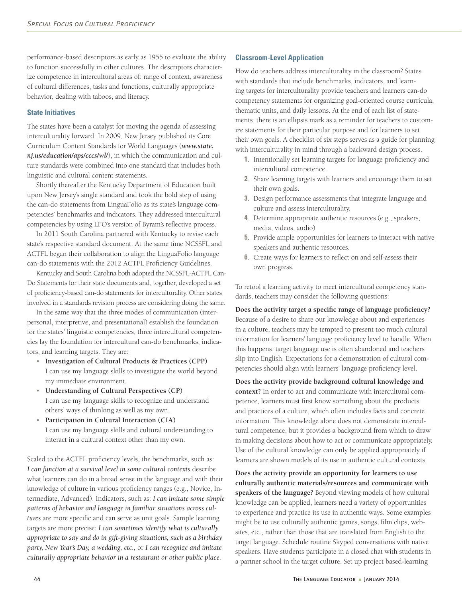performance-based descriptors as early as 1955 to evaluate the ability to function successfully in other cultures. The descriptors characterize competence in intercultural areas of: range of context, awareness of cultural differences, tasks and functions, culturally appropriate behavior, dealing with taboos, and literacy.

#### **State Initiatives**

The states have been a catalyst for moving the agenda of assessing interculturality forward. In 2009, New Jersey published its Core Curriculum Content Standards for World Languages (*www.state. nj.us/education/aps/cccs/wl/*), in which the communication and culture standards were combined into one standard that includes both linguistic and cultural content statements.

Shortly thereafter the Kentucky Department of Education built upon New Jersey's single standard and took the bold step of using the can-do statements from LinguaFolio as its state's language competencies' benchmarks and indicators. They addressed intercultural competencies by using LFO's version of Byram's reflective process.

In 2011 South Carolina partnered with Kentucky to revise each state's respective standard document. At the same time NCSSFL and ACTFL began their collaboration to align the LinguaFolio language can-do statements with the 2012 ACTFL Proficiency Guidelines.

Kentucky and South Carolina both adopted the NCSSFL-ACTFL Can-Do Statements for their state documents and, together, developed a set of proficiency-based can-do statements for interculturality. Other states involved in a standards revision process are considering doing the same.

In the same way that the three modes of communication (interpersonal, interpretive, and presentational) establish the foundation for the states' linguistic competencies, three intercultural competencies lay the foundation for intercultural can-do benchmarks, indicators, and learning targets. They are:

- **Investigation of Cultural Products & Practices (CPP)** I can use my language skills to investigate the world beyond my immediate environment.
- **Understanding of Cultural Perspectives (CP)** I can use my language skills to recognize and understand others' ways of thinking as well as my own.
- **Participation in Cultural Interaction (CIA)** I can use my language skills and cultural understanding to interact in a cultural context other than my own.

Scaled to the ACTFL proficiency levels, the benchmarks, such as: *I can function at a survival level in some cultural contexts* describe what learners can do in a broad sense in the language and with their knowledge of culture in various proficiency ranges (e.g., Novice, Intermediate, Advanced). Indicators, such as: *I can imitate some simple patterns of behavior and language in familiar situations across cultures* are more specific and can serve as unit goals. Sample learning targets are more precise: *I can sometimes identify what is culturally appropriate to say and do in gift-giving situations, such as a birthday party, New Year's Day, a wedding, etc.,* or *I can recognize and imitate culturally appropriate behavior in a restaurant or other public place.*

### **Classroom-Level Application**

How do teachers address interculturality in the classroom? States with standards that include benchmarks, indicators, and learning targets for interculturality provide teachers and learners can-do competency statements for organizing goal-oriented course curricula, thematic units, and daily lessons. At the end of each list of statements, there is an ellipsis mark as a reminder for teachers to customize statements for their particular purpose and for learners to set their own goals. A checklist of six steps serves as a guide for planning with interculturality in mind through a backward design process.

- **1**. Intentionally set learning targets for language proficiency and intercultural competence.
- **2**. Share learning targets with learners and encourage them to set their own goals.
- **3**. Design performance assessments that integrate language and culture and assess interculturality.
- **4**. Determine appropriate authentic resources (e.g., speakers, media, videos, audio)
- **5**. Provide ample opportunities for learners to interact with native speakers and authentic resources.
- **6**. Create ways for learners to reflect on and self-assess their own progress.

To retool a learning activity to meet intercultural competency standards, teachers may consider the following questions:

**Does the activity target a specific range of language proficiency?** Because of a desire to share our knowledge about and experiences in a culture, teachers may be tempted to present too much cultural information for learners' language proficiency level to handle. When this happens, target language use is often abandoned and teachers slip into English. Expectations for a demonstration of cultural competencies should align with learners' language proficiency level.

**Does the activity provide background cultural knowledge and context?** In order to act and communicate with intercultural competence, learners must first know something about the products and practices of a culture, which often includes facts and concrete information. This knowledge alone does not demonstrate intercultural competence, but it provides a background from which to draw in making decisions about how to act or communicate appropriately. Use of the cultural knowledge can only be applied appropriately if learners are shown models of its use in authentic cultural contexts.

**Does the activity provide an opportunity for learners to use culturally authentic materials/resources and communicate with speakers of the language?** Beyond viewing models of how cultural knowledge can be applied, learners need a variety of opportunities to experience and practice its use in authentic ways. Some examples might be to use culturally authentic games, songs, film clips, websites, etc., rather than those that are translated from English to the target language. Schedule routine Skyped conversations with native speakers. Have students participate in a closed chat with students in a partner school in the target culture. Set up project based-learning